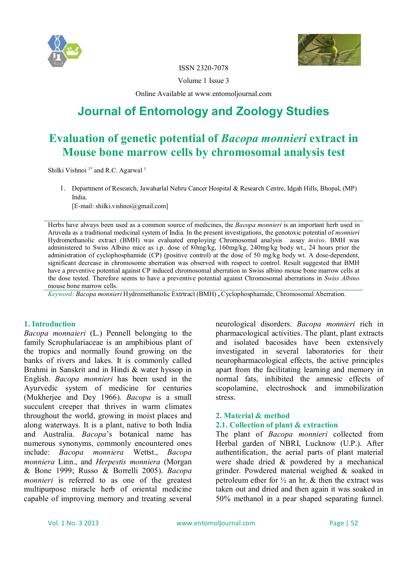



ISSN 2320-7078

Volume 1 Issue 3

Online Available at www.entomoljournal.com

# **Journal of Entomology and Zoology Studies**

## **Evaluation of genetic potential of** *Bacopa monnieri* **extract in Mouse bone marrow cells by chromosomal analysis test**

Shilki Vishnoi<sup>1\*</sup> and R.C. Agarwal<sup>1</sup>

1. Department of Research, Jawaharlal Nehru Cancer Hospital & Research Centre, Idgah Hills, Bhopal, (MP) India.

[E-mail: shilki.vishnoi@gmail.com]

Herbs have always been used as a common source of medicines, the *Bacopa monnieri* is an important herb used in Aruveda as a traditional medicinal system of India. In the present investigations, the genotoxic potential of *monnieri*  Hydromethanolic extract (BMH) was evaluated employing Chromosomal analysis assay *invivo*. BMH was administered to Swiss Albino mice as i.p. dose of 80mg/kg, 160mg/kg, 240mg/kg body wt., 24 hours prior the administration of cyclophosphamide (CP) (positive control) at the dose of 50 mg/kg body wt. A dose-dependent, significant decrease in chromosome aberration was observed with respect to control. Result suggested that BMH have a preventive potential against CP induced chromosomal aberration in Swiss albino mouse bone marrow cells at the dose tested. Therefore seems to have a preventive potential against Chromosomal aberrations in *Swiss Albino*  mouse bone marrow cells.

*Keyword: Bacopa monnieri* Hydromethanolic Extrtract (BMH) **,** Cyclophosphamide, Chromosomal Aberration.

#### **1. Introduction**

*Bacopa monnaieri* (L.) Pennell belonging to the family Scrophulariaceae is an amphibious plant of the tropics and normally found growing on the banks of rivers and lakes. It is commonly called Brahmi in Sanskrit and in Hindi & water hyssop in English. *Bacopa monnieri* has been used in the Ayurvedic system of medicine for centuries (Mukherjee and Dey 1966). *Bacopa* is a small succulent creeper that thrives in warm climates throughout the world, growing in moist places and along waterways. It is a plant, native to both India and Australia. *Bacopa*'s botanical name has numerous synonyms, commonly encountered ones include: *Bacopa monniera* Wettst., *Bacopa monniera* Linn., and *Herpestis monniera* (Morgan & Bone 1999; Russo & Borrelli 2005). *Bacopa monnieri* is referred to as one of the greatest multipurpose miracle herb of oriental medicine capable of improving memory and treating several

neurological disorders. *Bacopa monnieri* rich in pharmacological activities. The plant, plant extracts and isolated bacosides have been extensively investigated in several laboratories for their neuropharmacological effects, the active principles apart from the facilitating learning and memory in normal fats, inhibited the amnesic effects of scopolamine, electroshock and immobilization stress.

### **2. Material & method**

### **2.1. Collection of plant & extraction**

The plant of *Bacopa monnieri* collected from Herbal garden of NBRI, Lucknow (U.P.). After authentification, the aerial parts of plant material were shade dried & powdered by a mechanical grinder. Powdered material weighed & soaked in petroleum ether for  $\frac{1}{2}$  an hr. & then the extract was taken out and dried and then again it was soaked in 50% methanol in a pear shaped separating funnel.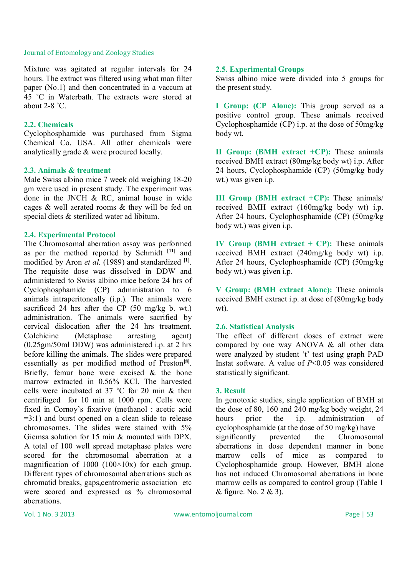Mixture was agitated at regular intervals for 24 hours. The extract was filtered using what man filter paper (No.1) and then concentrated in a vaccum at 45 ˚C in Waterbath. The extracts were stored at about 2-8 ˚C.

#### **2.2. Chemicals**

Cyclophosphamide was purchased from Sigma Chemical Co. USA. All other chemicals were analytically grade & were procured locally.

#### **2.3. Animals & treatment**

Male Swiss albino mice 7 week old weighing 18-20 gm were used in present study. The experiment was done in the JNCH & RC, animal house in wide cages & well aerated rooms & they will be fed on special diets & sterilized water ad libitum.

#### **2.4. Experimental Protocol**

The Chromosomal aberration assay was performed as per the method reported by Schmidt **[11]** and modified by Aron *et al.* (1989) and standardized **[1]** . The requisite dose was dissolved in DDW and administered to Swiss albino mice before 24 hrs of Cyclophosphamide (CP) administration to 6 animals intraperitoneally (i.p.). The animals were sacrificed 24 hrs after the CP (50 mg/kg b. wt.) administration. The animals were sacrified by cervical dislocation after the 24 hrs treatment. Colchicine (Metaphase arresting agent) (0.25gm/50ml DDW) was administered i.p. at 2 hrs before killing the animals. The slides were prepared essentially as per modified method of Preston<sup>[8]</sup>. Briefly, femur bone were excised  $\&$  the bone marrow extracted in 0.56% KCl. The harvested cells were incubated at  $37 \text{ °C}$  for 20 min & then centrifuged for 10 min at 1000 rpm. Cells were fixed in Cornoy's fixative (methanol : acetic acid  $=3:1$ ) and burst opened on a clean slide to release chromosomes. The slides were stained with 5% Giemsa solution for 15 min & mounted with DPX. A total of 100 well spread metaphase plates were scored for the chromosomal aberration at a magnification of  $1000 (100 \times 10x)$  for each group. Different types of chromosomal aberrations such as chromatid breaks, gaps,centromeric association etc were scored and expressed as % chromosomal aberrations.

#### **2.5. Experimental Groups**

Swiss albino mice were divided into 5 groups for the present study.

**I Group: (CP Alone):** This group served as a positive control group. These animals received Cyclophosphamide (CP) i.p. at the dose of 50mg/kg body wt.

**II Group: (BMH extract +CP):** These animals received BMH extract (80mg/kg body wt) i.p. After 24 hours, Cyclophosphamide (CP) (50mg/kg body wt.) was given i.p.

**III Group (BMH extract +CP):** These animals/ received BMH extract (160mg/kg body wt) i.p. After 24 hours, Cyclophosphamide (CP) (50mg/kg body wt.) was given i.p.

**IV Group (BMH extract + CP):** These animals received BMH extract (240mg/kg body wt) i.p. After 24 hours, Cyclophosphamide (CP) (50mg/kg body wt.) was given i.p.

**V Group: (BMH extract Alone):** These animals received BMH extract i.p. at dose of (80mg/kg body wt).

#### **2.6. Statistical Analysis**

The effect of different doses of extract were compared by one way ANOVA & all other data were analyzed by student 't' test using graph PAD Instat software. A value of *P*<0.05 was considered statistically significant.

#### **3. Result**

In genotoxic studies, single application of BMH at the dose of 80, 160 and 240 mg/kg body weight, 24 hours prior the i.p. administration of cyclophosphamide (at the dose of 50 mg/kg) have significantly prevented the Chromosomal aberrations in dose dependent manner in bone marrow cells of mice as compared to Cyclophosphamide group. However, BMH alone has not induced Chromosomal aberrations in bone marrow cells as compared to control group (Table 1 & figure. No. 2 & 3).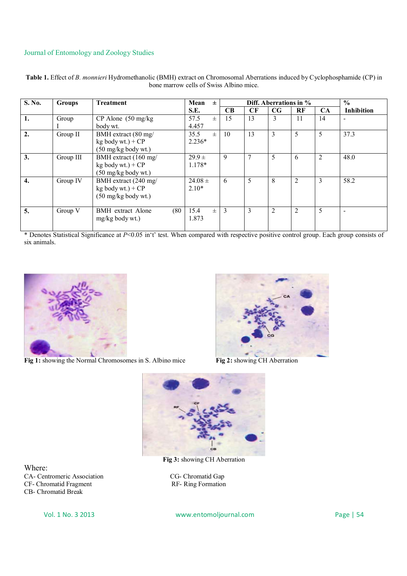| S. No. | <b>Groups</b> | <b>Treatment</b>                                                               | Mean<br>$\pm$                | Diff. Aberrations in $\%$ |                 |             |    |    | $\frac{0}{0}$     |
|--------|---------------|--------------------------------------------------------------------------------|------------------------------|---------------------------|-----------------|-------------|----|----|-------------------|
|        |               |                                                                                | S.E.                         | CB                        | CF              | $_{\rm CG}$ | RF | CA | <b>Inhibition</b> |
| 1.     | Group         | $CP$ Alone (50 mg/kg)                                                          | 57.5<br>$\pm$                | 15                        | 13              | 3           | 11 | 14 |                   |
|        |               | body wt.                                                                       | 4.457                        |                           |                 |             |    |    |                   |
| 2.     | Group II      | BMH extract (80 mg/<br>$kg$ body wt.) + $CP$<br>$(50 \text{ mg/kg}$ body wt.)  | 35.5<br>$_{\pm}$<br>$2.236*$ | 10                        | 13              | 3           | 5  | 5  | 37.3              |
| 3.     | Group III     | BMH extract (160 mg/<br>$kg$ body wt.) + $CP$<br>$(50 \text{ mg/kg}$ body wt.) | $29.9 \pm$<br>1.178*         | 9                         | $7\phantom{.0}$ | 5           | 6  | 2  | 48.0              |
| 4.     | Group IV      | BMH extract (240 mg/<br>$kg$ body wt.) + $CP$<br>$(50 \text{ mg/kg}$ body wt.) | $24.08 \pm$<br>$2.10*$       | 6                         | 5               | 8           | 2  | 3  | 58.2              |
| 5.     | Group V       | (80)<br><b>BMH</b> extract Alone<br>$mg/kg$ body wt.)                          | 15.4<br>$\pm$<br>1.873       | 3                         | 3               | 2           | 2  | 5  |                   |

**Table 1.** Effect of *B. monnieri* Hydromethanolic (BMH) extract on Chromosomal Aberrations induced by Cyclophosphamide (CP) in bone marrow cells of Swiss Albino mice.

\* Denotes Statistical Significance at *P*<0.05 in't' test. When compared with respective positive control group. Each group consists of six animals.



**Fig 1:** showing the Normal Chromosomes in S. Albino mice



**Fig 2:** showing CH Aberration



**Fig 3:** showing CH Aberration

Where: CA- Centromeric Association CG- Chromatid Gap<br>CF- Chromatid Fragment RF- Ring Formation CF- Chromatid Fragment CB- Chromatid Break

Vol. 1 No. 3 2013 www.entomoljournal.com Page | 54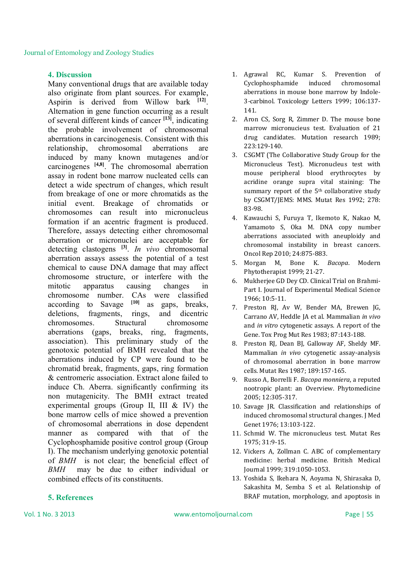#### **4. Discussion**

Many conventional drugs that are available today also originate from plant sources. For example, Aspirin is derived from Willow bark **[12]** . Alternation in gene function occurring as a result of several different kinds of cancer **[13]**, indicating the probable involvement of chromosomal aberrations in carcinogenesis. Consistent with this relationship, chromosomal aberrations are induced by many known mutagenes and/or carcinogenes **[4,8]** . The chromosomal aberration assay in rodent bone marrow nucleated cells can detect a wide spectrum of changes, which result from breakage of one or more chromatids as the initial event. Breakage of chromatids or chromosomes can result into micronucleus formation if an acentric fragment is produced. Therefore, assays detecting either chromosomal aberration or micronuclei are acceptable for detecting clastogens **[3]** . *In vivo* chromosomal aberration assays assess the potential of a test chemical to cause DNA damage that may affect chromosome structure, or interfere with the mitotic apparatus causing changes in chromosome number. CAs were classified according to Savage **[10]** as gaps, breaks, deletions, fragments, rings, and dicentric chromosomes. Structural chromosome aberrations (gaps, breaks, ring, fragments, association). This preliminary study of the genotoxic potential of BMH revealed that the aberrations induced by CP were found to be chromatid break, fragments, gaps, ring formation & centromeric association. Extract alone failed to induce Ch. Aberra. significantly confirming its non mutagenicity. The BMH extract treated experimental groups (Group II, III & IV) the bone marrow cells of mice showed a prevention of chromosomal aberrations in dose dependent manner as compared with that of the Cyclophosphamide positive control group (Group I). The mechanism underlying genotoxic potential of *BMH* is not clear; the beneficial effect of *BMH* may be due to either individual or combined effects of its constituents.

#### **5. References**

- 1. Agrawal RC, Kumar S. Prevention of Cyclophosphamide induced chromosomal aberrations in mouse bone marrow by Indole-3-carbinol. Toxicology Letters 1999; 106:137- 141.
- 2. Aron CS, Sorg R, Zimmer D. The mouse bone marrow micronucieus test. Evaluation of 21 drug candidates. Mutation research 1989; 223:129-140.
- 3. CSGMT (The Collaborative Study Group for the Micronucleus Test). Micronucleus test with mouse peripheral blood erythrocytes by acridine orange supra vital staining: The summary report of the  $5<sup>th</sup>$  collaborative study by CSGMT/JEMS: MMS. Mutat Res 1992; 278: 83-98.
- 4. Kawauchi S, Furuya T, Ikemoto K, Nakao M, Yamamoto S, Oka M. DNA copy number aberrations associated with aneuploidy and chromosomal instability in breast cancers. Oncol Rep 2010; 24:875-883.
- 5. Morgan M, Bone K. *Bacopa*. Modern Phytotherapist 1999; 21-27.
- 6. Mukherjee GD Dey CD. Clinical Trial on Brahmi-Part I. Journal of Experimental Medical Science 1966; 10:5-11.
- 7. Preston RJ, Av W, Bender MA, Brewen JG, Carrano AV, Heddle JA et al. Mammalian *in vivo*  and *in vitro* cytogenetic assays. A report of the Gene. Tox Prog Mut Res 1983; 87:143-188.
- 8. Preston RJ, Dean BJ, Galloway AF, Sheldy MF. Mammalian *in vivo* cytogenetic assay-analysis of chromosomal aberration in bone marrow cells. Mutat Res 1987; 189:157-165.
- 9. Russo A, Borrelli F. *Bacopa monniera*, a reputed nootropic plant: an Overview. Phytomedicine 2005; 12:305-317.
- 10. Savage JR. Classification and relationships of induced chromosomal structural changes. J Med Genet 1976; 13:103-122.
- 11. Schmid W. The micronucleus test. Mutat Res 1975; 31:9-15.
- 12. Vickers A, Zollman C. ABC of complementary medicine: herbal medicine. British Medical Journal 1999; 319:1050-1053.
- 13. Yoshida S, Ikehara N, Aoyama N, Shirasaka D, Sakashita M, Semba S et al. Relationship of BRAF mutation, morphology, and apoptosis in